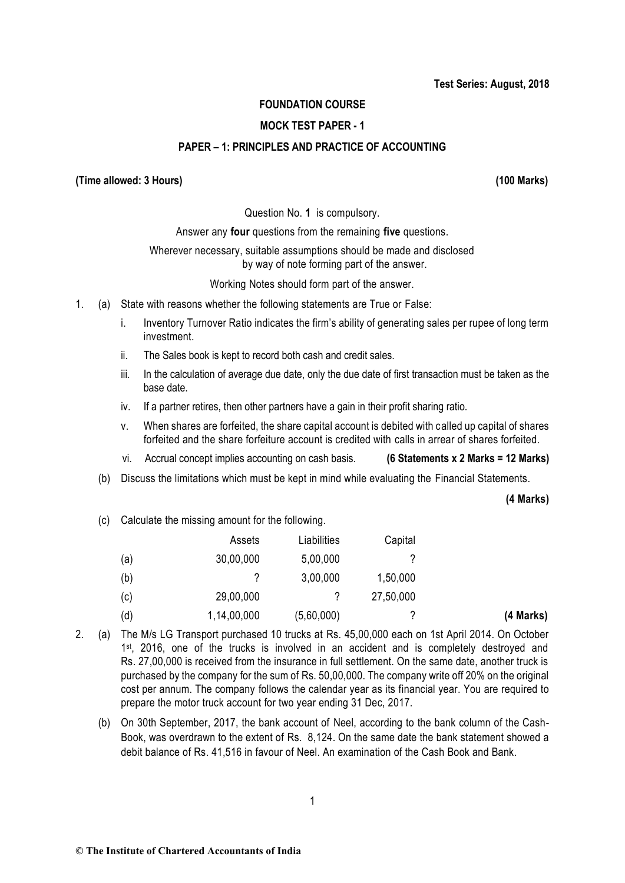# **FOUNDATION COURSE**

# **MOCK TEST PAPER - 1**

# **PAPER – 1: PRINCIPLES AND PRACTICE OF ACCOUNTING**

## **(Time allowed: 3 Hours) (100 Marks)**

Question No. **1** is compulsory.

Answer any **four** questions from the remaining **five** questions.

## Wherever necessary, suitable assumptions should be made and disclosed by way of note forming part of the answer.

Working Notes should form part of the answer.

- 1. (a) State with reasons whether the following statements are True or False:
	- i. Inventory Turnover Ratio indicates the firm's ability of generating sales per rupee of long term investment.
	- ii. The Sales book is kept to record both cash and credit sales.
	- iii. In the calculation of average due date, only the due date of first transaction must be taken as the base date.
	- iv. If a partner retires, then other partners have a gain in their profit sharing ratio.
	- v. When shares are forfeited, the share capital account is debited with called up capital of shares forfeited and the share forfeiture account is credited with calls in arrear of shares forfeited.

vi. Accrual concept implies accounting on cash basis. **(6 Statements x 2 Marks = 12 Marks)** 

(b) Discuss the limitations which must be kept in mind while evaluating the Financial Statements.

**(4 Marks)**

(c) Calculate the missing amount for the following.

|     | Assets      | Liabilities | Capital   |           |
|-----|-------------|-------------|-----------|-----------|
| (a) | 30,00,000   | 5,00,000    |           |           |
| (b) |             | 3,00,000    | 1,50,000  |           |
| (C) | 29,00,000   | ?           | 27,50,000 |           |
| (d) | 1,14,00,000 | (5,60,000)  |           | (4 Marks) |

- 2. (a) The M/s LG Transport purchased 10 trucks at Rs. 45,00,000 each on 1st April 2014. On October 1<sup>st</sup>, 2016, one of the trucks is involved in an accident and is completely destroyed and Rs. 27,00,000 is received from the insurance in full settlement. On the same date, another truck is purchased by the company for the sum of Rs. 50,00,000. The company write off 20% on the original cost per annum. The company follows the calendar year as its financial year. You are required to prepare the motor truck account for two year ending 31 Dec, 2017.
	- (b) On 30th September, 2017, the bank account of Neel, according to the bank column of the Cash-Book, was overdrawn to the extent of Rs. 8,124. On the same date the bank statement showed a debit balance of Rs. 41,516 in favour of Neel. An examination of the Cash Book and Bank.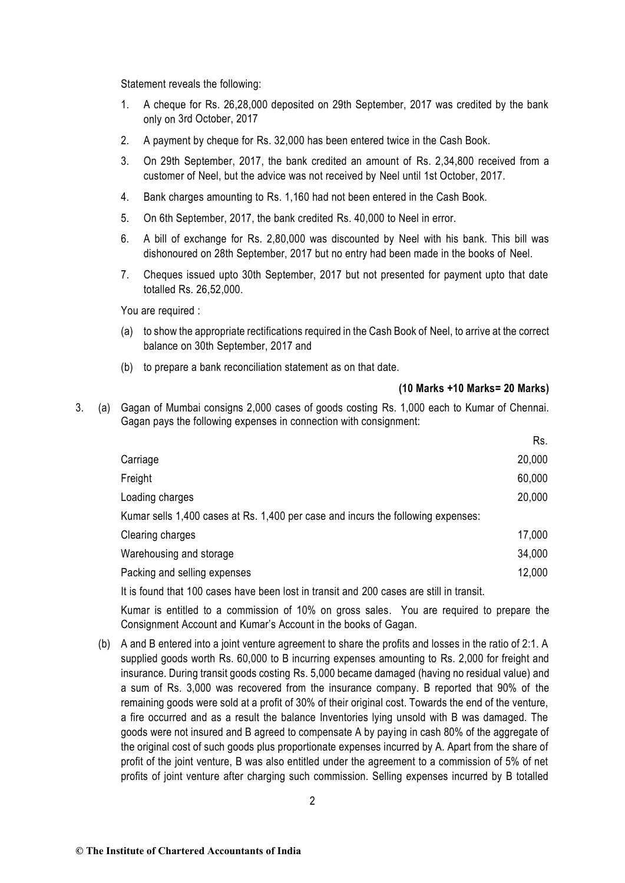Statement reveals the following:

- 1. A cheque for Rs. 26,28,000 deposited on 29th September, 2017 was credited by the bank only on 3rd October, 2017
- 2. A payment by cheque for Rs. 32,000 has been entered twice in the Cash Book.
- 3. On 29th September, 2017, the bank credited an amount of Rs. 2,34,800 received from a customer of Neel, but the advice was not received by Neel until 1st October, 2017.
- 4. Bank charges amounting to Rs. 1,160 had not been entered in the Cash Book.
- 5. On 6th September, 2017, the bank credited Rs. 40,000 to Neel in error.
- 6. A bill of exchange for Rs. 2,80,000 was discounted by Neel with his bank. This bill was dishonoured on 28th September, 2017 but no entry had been made in the books of Neel.
- 7. Cheques issued upto 30th September, 2017 but not presented for payment upto that date totalled Rs. 26,52,000.

You are required :

- (a) to show the appropriate rectifications required in the Cash Book of Neel, to arrive at the correct balance on 30th September, 2017 and
- (b) to prepare a bank reconciliation statement as on that date.

#### **(10 Marks +10 Marks= 20 Marks)**

Rs.

3. (a) Gagan of Mumbai consigns 2,000 cases of goods costing Rs. 1,000 each to Kumar of Chennai. Gagan pays the following expenses in connection with consignment:

|                                                                                  | nэ.    |
|----------------------------------------------------------------------------------|--------|
| Carriage                                                                         | 20,000 |
| Freight                                                                          | 60,000 |
| Loading charges                                                                  | 20,000 |
| Kumar sells 1,400 cases at Rs. 1,400 per case and incurs the following expenses: |        |
| Clearing charges                                                                 | 17,000 |
| Warehousing and storage                                                          | 34,000 |
| Packing and selling expenses                                                     | 12,000 |
|                                                                                  |        |

It is found that 100 cases have been lost in transit and 200 cases are still in transit.

Kumar is entitled to a commission of 10% on gross sales. You are required to prepare the Consignment Account and Kumar's Account in the books of Gagan.

(b) A and B entered into a joint venture agreement to share the profits and losses in the ratio of 2:1. A supplied goods worth Rs. 60,000 to B incurring expenses amounting to Rs. 2,000 for freight and insurance. During transit goods costing Rs. 5,000 became damaged (having no residual value) and a sum of Rs. 3,000 was recovered from the insurance company. B reported that 90% of the remaining goods were sold at a profit of 30% of their original cost. Towards the end of the venture, a fire occurred and as a result the balance Inventories lying unsold with B was damaged. The goods were not insured and B agreed to compensate A by paying in cash 80% of the aggregate of the original cost of such goods plus proportionate expenses incurred by A. Apart from the share of profit of the joint venture, B was also entitled under the agreement to a commission of 5% of net profits of joint venture after charging such commission. Selling expenses incurred by B totalled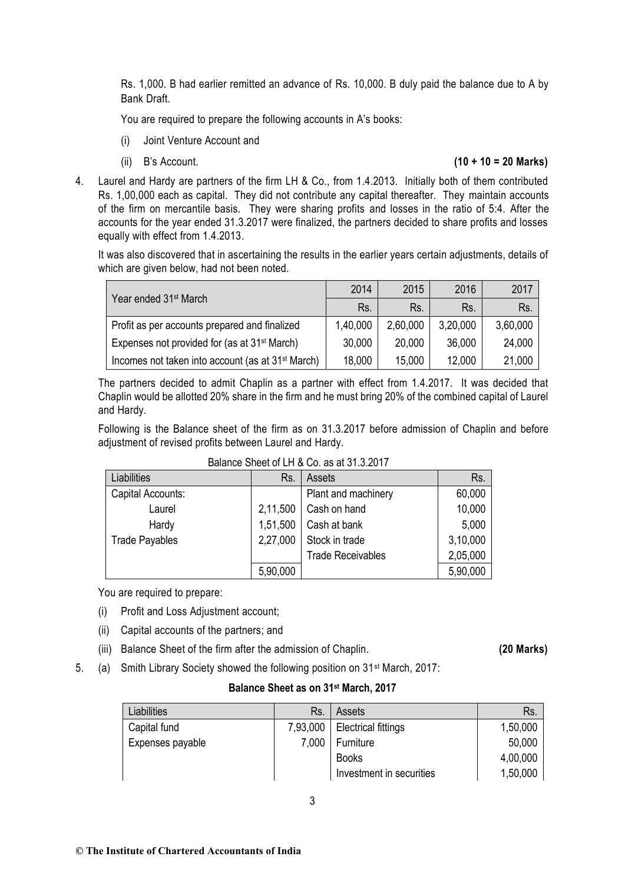Rs. 1,000. B had earlier remitted an advance of Rs. 10,000. B duly paid the balance due to A by Bank Draft.

You are required to prepare the following accounts in A's books:

- (i) Joint Venture Account and
- 

## (ii) B's Account. **(10 + 10 = 20 Marks)**

4. Laurel and Hardy are partners of the firm LH & Co., from 1.4.2013. Initially both of them contributed Rs. 1,00,000 each as capital. They did not contribute any capital thereafter. They maintain accounts of the firm on mercantile basis. They were sharing profits and losses in the ratio of 5:4. After the accounts for the year ended 31.3.2017 were finalized, the partners decided to share profits and losses equally with effect from 1.4.2013.

It was also discovered that in ascertaining the results in the earlier years certain adjustments, details of which are given below, had not been noted.

| Year ended 31 <sup>st</sup> March                             | 2014     | 2015     | 2016     | 2017     |
|---------------------------------------------------------------|----------|----------|----------|----------|
|                                                               | Rs.      | Rs.      | Rs.      | Rs.      |
| Profit as per accounts prepared and finalized                 | 1,40,000 | 2,60,000 | 3,20,000 | 3,60,000 |
| Expenses not provided for (as at 31 <sup>st</sup> March)      | 30,000   | 20,000   | 36,000   | 24,000   |
| Incomes not taken into account (as at 31 <sup>st</sup> March) | 18,000   | 15,000   | 12,000   | 21,000   |

The partners decided to admit Chaplin as a partner with effect from 1.4.2017. It was decided that Chaplin would be allotted 20% share in the firm and he must bring 20% of the combined capital of Laurel and Hardy.

Following is the Balance sheet of the firm as on 31.3.2017 before admission of Chaplin and before adjustment of revised profits between Laurel and Hardy.

| Liabilities           | Rs.      | Assets                   | Rs.      |
|-----------------------|----------|--------------------------|----------|
| Capital Accounts:     |          | Plant and machinery      | 60,000   |
| Laurel                | 2,11,500 | Cash on hand             | 10,000   |
| Hardy                 | 1,51,500 | Cash at bank             | 5,000    |
| <b>Trade Payables</b> | 2,27,000 | Stock in trade           | 3,10,000 |
|                       |          | <b>Trade Receivables</b> | 2,05,000 |
|                       | 5,90,000 |                          | 5,90,000 |

#### Balance Sheet of LH & Co. as at 31.3.2017

You are required to prepare:

- (i) Profit and Loss Adjustment account;
- (ii) Capital accounts of the partners; and
- (iii) Balance Sheet of the firm after the admission of Chaplin. **(20 Marks)**

5. (a) Smith Library Society showed the following position on 31st March, 2017:

# **Balance Sheet as on 31st March, 2017**

| Liabilities      | Rs.      | Assets                     | Rs.      |
|------------------|----------|----------------------------|----------|
| Capital fund     | 7,93,000 | <b>Electrical fittings</b> | 1,50,000 |
| Expenses payable | 7,000    | Furniture                  | 50,000   |
|                  |          | <b>Books</b>               | 4,00,000 |
|                  |          | Investment in securities   | 1,50,000 |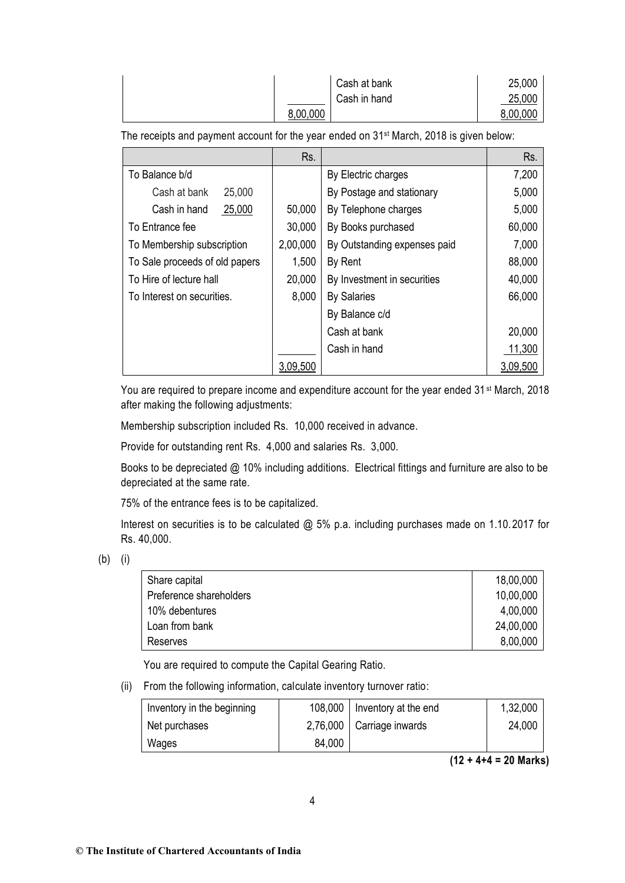|          | Cash at bank | 25,000   |
|----------|--------------|----------|
|          | Cash in hand | 25,000   |
| 8,00,000 |              | 8,00,000 |

The receipts and payment account for the year ended on 31st March, 2018 is given below:

|                                | Rs.      |                              | Rs.      |
|--------------------------------|----------|------------------------------|----------|
| To Balance b/d                 |          | By Electric charges          | 7,200    |
| 25,000<br>Cash at bank         |          | By Postage and stationary    | 5,000    |
| 25,000<br>Cash in hand         | 50,000   | By Telephone charges         | 5,000    |
| To Entrance fee                | 30,000   | By Books purchased           | 60,000   |
| To Membership subscription     | 2,00,000 | By Outstanding expenses paid | 7,000    |
| To Sale proceeds of old papers | 1,500    | By Rent                      | 88,000   |
| To Hire of lecture hall        | 20,000   | By Investment in securities  | 40,000   |
| To Interest on securities.     | 8,000    | <b>By Salaries</b>           | 66,000   |
|                                |          | By Balance c/d               |          |
|                                |          | Cash at bank                 | 20,000   |
|                                |          | Cash in hand                 | 11,300   |
|                                | 3,09,500 |                              | 3,09,500 |

You are required to prepare income and expenditure account for the year ended 31<sup>st</sup> March, 2018 after making the following adjustments:

Membership subscription included Rs. 10,000 received in advance.

Provide for outstanding rent Rs. 4,000 and salaries Rs. 3,000.

Books to be depreciated @ 10% including additions. Electrical fittings and furniture are also to be depreciated at the same rate.

75% of the entrance fees is to be capitalized.

Interest on securities is to be calculated @ 5% p.a. including purchases made on 1.10.2017 for Rs. 40,000.

(b) (i)

| Share capital           | 18,00,000 |
|-------------------------|-----------|
| Preference shareholders | 10,00,000 |
| 10% debentures          | 4,00,000  |
| Loan from bank          | 24,00,000 |
| Reserves                | 8,00,000  |

You are required to compute the Capital Gearing Ratio.

(ii) From the following information, calculate inventory turnover ratio:

| Inventory in the beginning |        | 108,000   Inventory at the end | 1,32,000 |
|----------------------------|--------|--------------------------------|----------|
| Net purchases              |        | 2,76,000   Carriage inwards    | 24,000   |
| Wages                      | 84,000 |                                |          |

**(12 + 4+4 = 20 Marks)**